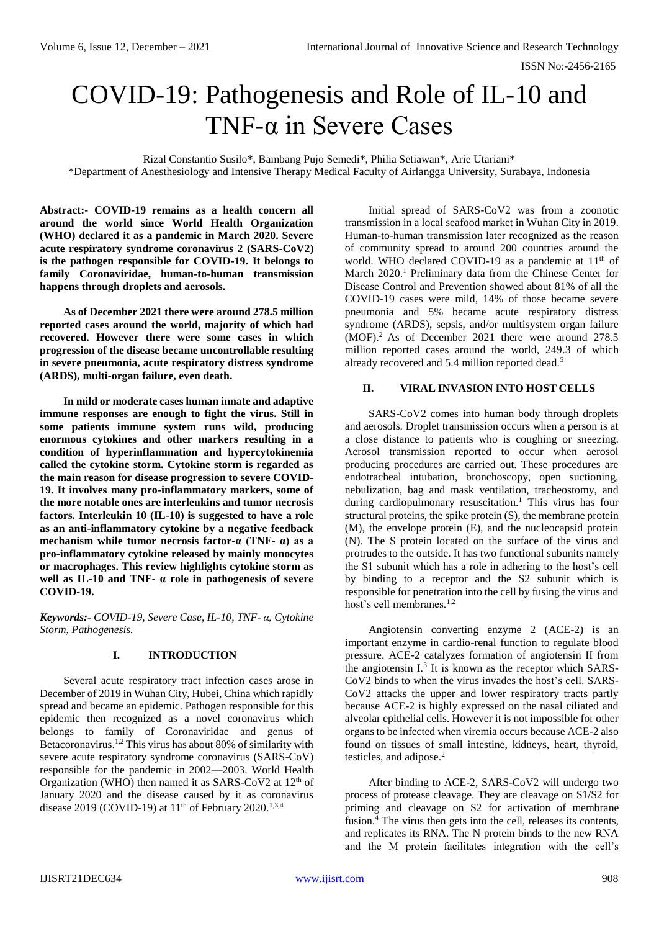# COVID-19: Pathogenesis and Role of IL-10 and TNF-α in Severe Cases

Rizal Constantio Susilo\*, Bambang Pujo Semedi\*, Philia Setiawan\*, Arie Utariani\* \*Department of Anesthesiology and Intensive Therapy Medical Faculty of Airlangga University, Surabaya, Indonesia

**Abstract:- COVID-19 remains as a health concern all around the world since World Health Organization (WHO) declared it as a pandemic in March 2020. Severe acute respiratory syndrome coronavirus 2 (SARS-CoV2) is the pathogen responsible for COVID-19. It belongs to family Coronaviridae, human-to-human transmission happens through droplets and aerosols.**

**As of December 2021 there were around 278.5 million reported cases around the world, majority of which had recovered. However there were some cases in which progression of the disease became uncontrollable resulting in severe pneumonia, acute respiratory distress syndrome (ARDS), multi-organ failure, even death.**

**In mild or moderate cases human innate and adaptive immune responses are enough to fight the virus. Still in some patients immune system runs wild, producing enormous cytokines and other markers resulting in a condition of hyperinflammation and hypercytokinemia called the cytokine storm. Cytokine storm is regarded as the main reason for disease progression to severe COVID-19. It involves many pro-inflammatory markers, some of the more notable ones are interleukins and tumor necrosis factors. Interleukin 10 (IL-10) is suggested to have a role as an anti-inflammatory cytokine by a negative feedback mechanism while tumor necrosis factor-α (TNF- α) as a pro-inflammatory cytokine released by mainly monocytes or macrophages. This review highlights cytokine storm as well as IL-10 and TNF- α role in pathogenesis of severe COVID-19.**

*Keywords:- COVID-19, Severe Case, IL-10, TNF- α, Cytokine Storm, Pathogenesis.*

### **I. INTRODUCTION**

Several acute respiratory tract infection cases arose in December of 2019 in Wuhan City, Hubei, China which rapidly spread and became an epidemic. Pathogen responsible for this epidemic then recognized as a novel coronavirus which belongs to family of Coronaviridae and genus of Betacoronavirus.<sup>1,2</sup> This virus has about 80% of similarity with severe acute respiratory syndrome coronavirus (SARS-CoV) responsible for the pandemic in 2002—2003. World Health Organization (WHO) then named it as SARS-CoV2 at  $12<sup>th</sup>$  of January 2020 and the disease caused by it as coronavirus disease 2019 (COVID-19) at  $11<sup>th</sup>$  of February 2020.<sup>1,3,4</sup>

Initial spread of SARS-CoV2 was from a zoonotic transmission in a local seafood market in Wuhan City in 2019. Human-to-human transmission later recognized as the reason of community spread to around 200 countries around the world. WHO declared COVID-19 as a pandemic at  $11<sup>th</sup>$  of March 2020.<sup>1</sup> Preliminary data from the Chinese Center for Disease Control and Prevention showed about 81% of all the COVID-19 cases were mild, 14% of those became severe pneumonia and 5% became acute respiratory distress syndrome (ARDS), sepsis, and/or multisystem organ failure (MOF).<sup>2</sup> As of December 2021 there were around 278.5 million reported cases around the world, 249.3 of which already recovered and 5.4 million reported dead.<sup>5</sup>

## **II. VIRAL INVASION INTO HOST CELLS**

SARS-CoV2 comes into human body through droplets and aerosols. Droplet transmission occurs when a person is at a close distance to patients who is coughing or sneezing. Aerosol transmission reported to occur when aerosol producing procedures are carried out. These procedures are endotracheal intubation, bronchoscopy, open suctioning, nebulization, bag and mask ventilation, tracheostomy, and during cardiopulmonary resuscitation.<sup>1</sup> This virus has four structural proteins, the spike protein (S), the membrane protein (M), the envelope protein (E), and the nucleocapsid protein (N). The S protein located on the surface of the virus and protrudes to the outside. It has two functional subunits namely the S1 subunit which has a role in adhering to the host's cell by binding to a receptor and the S2 subunit which is responsible for penetration into the cell by fusing the virus and host's cell membranes.<sup>1,2</sup>

Angiotensin converting enzyme 2 (ACE-2) is an important enzyme in cardio-renal function to regulate blood pressure. ACE-2 catalyzes formation of angiotensin II from the angiotensin  $I<sup>3</sup>$  It is known as the receptor which SARS-CoV2 binds to when the virus invades the host's cell. SARS-CoV2 attacks the upper and lower respiratory tracts partly because ACE-2 is highly expressed on the nasal ciliated and alveolar epithelial cells. However it is not impossible for other organs to be infected when viremia occurs because ACE-2 also found on tissues of small intestine, kidneys, heart, thyroid, testicles, and adipose.<sup>2</sup>

After binding to ACE-2, SARS-CoV2 will undergo two process of protease cleavage. They are cleavage on S1/S2 for priming and cleavage on S2 for activation of membrane fusion.<sup>4</sup> The virus then gets into the cell, releases its contents, and replicates its RNA. The N protein binds to the new RNA and the M protein facilitates integration with the cell's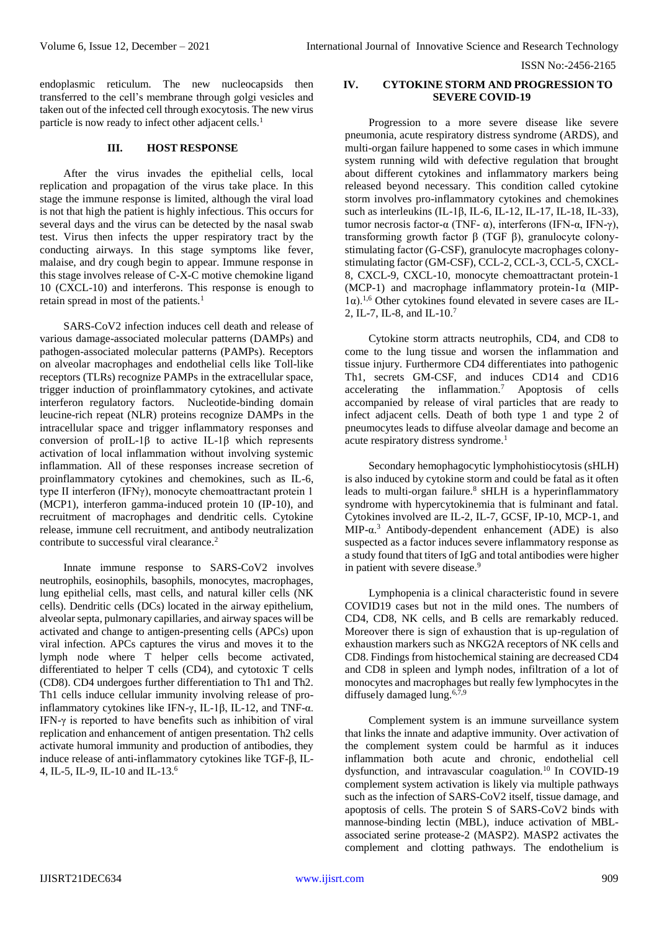ISSN No:-2456-2165

endoplasmic reticulum. The new nucleocapsids then transferred to the cell's membrane through golgi vesicles and taken out of the infected cell through exocytosis. The new virus particle is now ready to infect other adjacent cells.<sup>1</sup>

#### **III. HOST RESPONSE**

After the virus invades the epithelial cells, local replication and propagation of the virus take place. In this stage the immune response is limited, although the viral load is not that high the patient is highly infectious. This occurs for several days and the virus can be detected by the nasal swab test. Virus then infects the upper respiratory tract by the conducting airways. In this stage symptoms like fever, malaise, and dry cough begin to appear. Immune response in this stage involves release of C-X-C motive chemokine ligand 10 (CXCL-10) and interferons. This response is enough to retain spread in most of the patients.<sup>1</sup>

SARS-CoV2 infection induces cell death and release of various damage-associated molecular patterns (DAMPs) and pathogen-associated molecular patterns (PAMPs). Receptors on alveolar macrophages and endothelial cells like Toll-like receptors (TLRs) recognize PAMPs in the extracellular space, trigger induction of proinflammatory cytokines, and activate interferon regulatory factors. Nucleotide-binding domain leucine-rich repeat (NLR) proteins recognize DAMPs in the intracellular space and trigger inflammatory responses and conversion of proIL-1β to active IL-1β which represents activation of local inflammation without involving systemic inflammation. All of these responses increase secretion of proinflammatory cytokines and chemokines, such as IL-6, type II interferon (IFNγ), monocyte chemoattractant protein 1 (MCP1), interferon gamma-induced protein 10 (IP-10), and recruitment of macrophages and dendritic cells. Cytokine release, immune cell recruitment, and antibody neutralization contribute to successful viral clearance.<sup>2</sup>

Innate immune response to SARS-CoV2 involves neutrophils, eosinophils, basophils, monocytes, macrophages, lung epithelial cells, mast cells, and natural killer cells (NK cells). Dendritic cells (DCs) located in the airway epithelium, alveolar septa, pulmonary capillaries, and airway spaces will be activated and change to antigen-presenting cells (APCs) upon viral infection. APCs captures the virus and moves it to the lymph node where T helper cells become activated, differentiated to helper T cells (CD4), and cytotoxic T cells (CD8). CD4 undergoes further differentiation to Th1 and Th2. Th1 cells induce cellular immunity involving release of proinflammatory cytokines like IFN-γ, IL-1β, IL-12, and TNF- $α$ . IFN-γ is reported to have benefits such as inhibition of viral replication and enhancement of antigen presentation. Th2 cells activate humoral immunity and production of antibodies, they induce release of anti-inflammatory cytokines like TGF-β, IL-4, IL-5, IL-9, IL-10 and IL-13.<sup>6</sup>

## **IV. CYTOKINE STORM AND PROGRESSION TO SEVERE COVID-19**

Progression to a more severe disease like severe pneumonia, acute respiratory distress syndrome (ARDS), and multi-organ failure happened to some cases in which immune system running wild with defective regulation that brought about different cytokines and inflammatory markers being released beyond necessary. This condition called cytokine storm involves pro-inflammatory cytokines and chemokines such as interleukins (IL-1β, IL-6, IL-12, IL-17, IL-18, IL-33), tumor necrosis factor-α (TNF- α), interferons (IFN-α, IFN-γ), transforming growth factor β (TGF β), granulocyte colonystimulating factor (G-CSF), granulocyte macrophages colonystimulating factor (GM-CSF), CCL-2, CCL-3, CCL-5, CXCL-8, CXCL-9, CXCL-10, monocyte chemoattractant protein-1 (MCP-1) and macrophage inflammatory protein-1α (MIP-1α).1,6 Other cytokines found elevated in severe cases are IL-2, IL-7, IL-8, and IL-10.<sup>7</sup>

Cytokine storm attracts neutrophils, CD4, and CD8 to come to the lung tissue and worsen the inflammation and tissue injury. Furthermore CD4 differentiates into pathogenic Th1, secrets GM-CSF, and induces CD14 and CD16 accelerating the inflammation.<sup>7</sup> Apoptosis of cells accompanied by release of viral particles that are ready to infect adjacent cells. Death of both type 1 and type 2 of pneumocytes leads to diffuse alveolar damage and become an acute respiratory distress syndrome.<sup>1</sup>

Secondary hemophagocytic lymphohistiocytosis (sHLH) is also induced by cytokine storm and could be fatal as it often leads to multi-organ failure.<sup>8</sup> sHLH is a hyperinflammatory syndrome with hypercytokinemia that is fulminant and fatal. Cytokines involved are IL-2, IL-7, GCSF, IP-10, MCP-1, and MIP- $\alpha$ <sup>3</sup> Antibody-dependent enhancement (ADE) is also suspected as a factor induces severe inflammatory response as a study found that titers of IgG and total antibodies were higher in patient with severe disease.<sup>9</sup>

Lymphopenia is a clinical characteristic found in severe COVID19 cases but not in the mild ones. The numbers of CD4, CD8, NK cells, and B cells are remarkably reduced. Moreover there is sign of exhaustion that is up-regulation of exhaustion markers such as NKG2A receptors of NK cells and CD8. Findings from histochemical staining are decreased CD4 and CD8 in spleen and lymph nodes, infiltration of a lot of monocytes and macrophages but really few lymphocytes in the diffusely damaged lung.<sup>6,7,9</sup>

Complement system is an immune surveillance system that links the innate and adaptive immunity. Over activation of the complement system could be harmful as it induces inflammation both acute and chronic, endothelial cell dysfunction, and intravascular coagulation.<sup>10</sup> In COVID-19 complement system activation is likely via multiple pathways such as the infection of SARS-CoV2 itself, tissue damage, and apoptosis of cells. The protein S of SARS-CoV2 binds with mannose-binding lectin (MBL), induce activation of MBLassociated serine protease-2 (MASP2). MASP2 activates the complement and clotting pathways. The endothelium is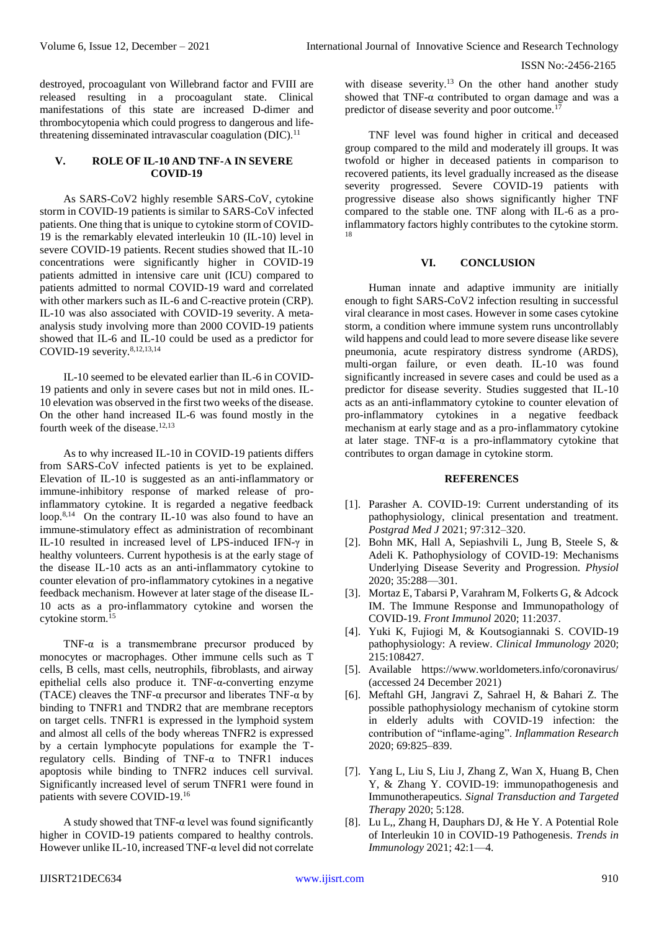destroyed, procoagulant von Willebrand factor and FVIII are released resulting in a procoagulant state. Clinical manifestations of this state are increased D-dimer and thrombocytopenia which could progress to dangerous and lifethreatening disseminated intravascular coagulation (DIC).<sup>11</sup>

#### **V. ROLE OF IL-10 AND TNF-Α IN SEVERE COVID-19**

As SARS-CoV2 highly resemble SARS-CoV, cytokine storm in COVID-19 patients is similar to SARS-CoV infected patients. One thing that is unique to cytokine storm of COVID-19 is the remarkably elevated interleukin 10 (IL-10) level in severe COVID-19 patients. Recent studies showed that IL-10 concentrations were significantly higher in COVID-19 patients admitted in intensive care unit (ICU) compared to patients admitted to normal COVID-19 ward and correlated with other markers such as IL-6 and C-reactive protein (CRP). IL-10 was also associated with COVID-19 severity. A metaanalysis study involving more than 2000 COVID-19 patients showed that IL-6 and IL-10 could be used as a predictor for COVID-19 severity.8,12,13,14

IL-10 seemed to be elevated earlier than IL-6 in COVID-19 patients and only in severe cases but not in mild ones. IL-10 elevation was observed in the first two weeks of the disease. On the other hand increased IL-6 was found mostly in the fourth week of the disease.<sup>12,13</sup>

As to why increased IL-10 in COVID-19 patients differs from SARS-CoV infected patients is yet to be explained. Elevation of IL-10 is suggested as an anti-inflammatory or immune-inhibitory response of marked release of proinflammatory cytokine. It is regarded a negative feedback loop.<sup>8,14</sup> On the contrary IL-10 was also found to have an immune-stimulatory effect as administration of recombinant IL-10 resulted in increased level of LPS-induced IFN-γ in healthy volunteers. Current hypothesis is at the early stage of the disease IL-10 acts as an anti-inflammatory cytokine to counter elevation of pro-inflammatory cytokines in a negative feedback mechanism. However at later stage of the disease IL-10 acts as a pro-inflammatory cytokine and worsen the cytokine storm.<sup>15</sup>

TNF- $\alpha$  is a transmembrane precursor produced by monocytes or macrophages. Other immune cells such as T cells, B cells, mast cells, neutrophils, fibroblasts, and airway epithelial cells also produce it. TNF-α-converting enzyme (TACE) cleaves the TNF- $\alpha$  precursor and liberates TNF- $\alpha$  by binding to TNFR1 and TNDR2 that are membrane receptors on target cells. TNFR1 is expressed in the lymphoid system and almost all cells of the body whereas TNFR2 is expressed by a certain lymphocyte populations for example the Tregulatory cells. Binding of TNF- $\alpha$  to TNFR1 induces apoptosis while binding to TNFR2 induces cell survival. Significantly increased level of serum TNFR1 were found in patients with severe COVID-19.<sup>16</sup>

A study showed that TNF- $\alpha$  level was found significantly higher in COVID-19 patients compared to healthy controls. However unlike IL-10, increased TNF-α level did not correlate with disease severity.<sup>13</sup> On the other hand another study showed that TNF- $\alpha$  contributed to organ damage and was a predictor of disease severity and poor outcome.<sup>17</sup>

TNF level was found higher in critical and deceased group compared to the mild and moderately ill groups. It was twofold or higher in deceased patients in comparison to recovered patients, its level gradually increased as the disease severity progressed. Severe COVID-19 patients with progressive disease also shows significantly higher TNF compared to the stable one. TNF along with IL-6 as a proinflammatory factors highly contributes to the cytokine storm. 18

## **VI. CONCLUSION**

Human innate and adaptive immunity are initially enough to fight SARS-CoV2 infection resulting in successful viral clearance in most cases. However in some cases cytokine storm, a condition where immune system runs uncontrollably wild happens and could lead to more severe disease like severe pneumonia, acute respiratory distress syndrome (ARDS), multi-organ failure, or even death. IL-10 was found significantly increased in severe cases and could be used as a predictor for disease severity. Studies suggested that IL-10 acts as an anti-inflammatory cytokine to counter elevation of pro-inflammatory cytokines in a negative feedback mechanism at early stage and as a pro-inflammatory cytokine at later stage. TNF- $\alpha$  is a pro-inflammatory cytokine that contributes to organ damage in cytokine storm.

#### **REFERENCES**

- [1]. Parasher A. COVID-19: Current understanding of its pathophysiology, clinical presentation and treatment. *Postgrad Med J* 2021; 97:312–320.
- [2]. Bohn MK, Hall A, Sepiashvili L, Jung B, Steele S, & Adeli K. Pathophysiology of COVID-19: Mechanisms Underlying Disease Severity and Progression. *Physiol* 2020; 35:288—301.
- [3]. Mortaz E, Tabarsi P, Varahram M, Folkerts G, & Adcock IM. The Immune Response and Immunopathology of COVID-19. *Front Immunol* 2020; 11:2037.
- [4]. Yuki K, Fujiogi M, & Koutsogiannaki S. COVID-19 pathophysiology: A review. *Clinical Immunology* 2020; 215:108427.
- [5]. Available https://www.worldometers.info/coronavirus/ (accessed 24 December 2021)
- [6]. Meftahl GH, Jangravi Z, Sahrael H, & Bahari Z. The possible pathophysiology mechanism of cytokine storm in elderly adults with COVID-19 infection: the contribution of "inflame-aging". *Inflammation Research* 2020; 69:825–839.
- [7]. Yang L, Liu S, Liu J, Zhang Z, Wan X, Huang B, Chen Y, & Zhang Y. COVID-19: immunopathogenesis and Immunotherapeutics. *Signal Transduction and Targeted Therapy* 2020; 5:128.
- [8]. Lu L,, Zhang H, Dauphars DJ, & He Y. A Potential Role of Interleukin 10 in COVID-19 Pathogenesis. *Trends in Immunology* 2021; 42:1—4.